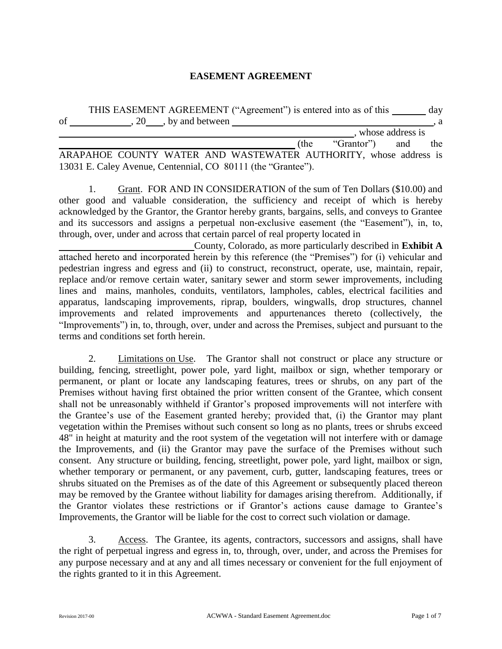#### **EASEMENT AGREEMENT**

|    |                    | THIS EASEMENT AGREEMENT ("Agreement") is entered into as of this | day |
|----|--------------------|------------------------------------------------------------------|-----|
| οf | 20, by and between |                                                                  | . a |
|    |                    | whose address is                                                 |     |

 **• (the "Grantor")** and the ARAPAHOE COUNTY WATER AND WASTEWATER AUTHORITY, whose address is 13031 E. Caley Avenue, Centennial, CO 80111 (the "Grantee").

1. Grant. FOR AND IN CONSIDERATION of the sum of Ten Dollars (\$10.00) and other good and valuable consideration, the sufficiency and receipt of which is hereby acknowledged by the Grantor, the Grantor hereby grants, bargains, sells, and conveys to Grantee and its successors and assigns a perpetual non-exclusive easement (the "Easement"), in, to, through, over, under and across that certain parcel of real property located in

County, Colorado, as more particularly described in **Exhibit A**  attached hereto and incorporated herein by this reference (the "Premises") for (i) vehicular and pedestrian ingress and egress and (ii) to construct, reconstruct, operate, use, maintain, repair, replace and/or remove certain water, sanitary sewer and storm sewer improvements, including lines and mains, manholes, conduits, ventilators, lampholes, cables, electrical facilities and apparatus, landscaping improvements, riprap, boulders, wingwalls, drop structures, channel improvements and related improvements and appurtenances thereto (collectively, the "Improvements") in, to, through, over, under and across the Premises, subject and pursuant to the terms and conditions set forth herein.

2. Limitations on Use. The Grantor shall not construct or place any structure or building, fencing, streetlight, power pole, yard light, mailbox or sign, whether temporary or permanent, or plant or locate any landscaping features, trees or shrubs, on any part of the Premises without having first obtained the prior written consent of the Grantee, which consent shall not be unreasonably withheld if Grantor's proposed improvements will not interfere with the Grantee's use of the Easement granted hereby; provided that, (i) the Grantor may plant vegetation within the Premises without such consent so long as no plants, trees or shrubs exceed 48" in height at maturity and the root system of the vegetation will not interfere with or damage the Improvements, and (ii) the Grantor may pave the surface of the Premises without such consent. Any structure or building, fencing, streetlight, power pole, yard light, mailbox or sign, whether temporary or permanent, or any pavement, curb, gutter, landscaping features, trees or shrubs situated on the Premises as of the date of this Agreement or subsequently placed thereon may be removed by the Grantee without liability for damages arising therefrom. Additionally, if the Grantor violates these restrictions or if Grantor's actions cause damage to Grantee's Improvements, the Grantor will be liable for the cost to correct such violation or damage.

3. Access. The Grantee, its agents, contractors, successors and assigns, shall have the right of perpetual ingress and egress in, to, through, over, under, and across the Premises for any purpose necessary and at any and all times necessary or convenient for the full enjoyment of the rights granted to it in this Agreement.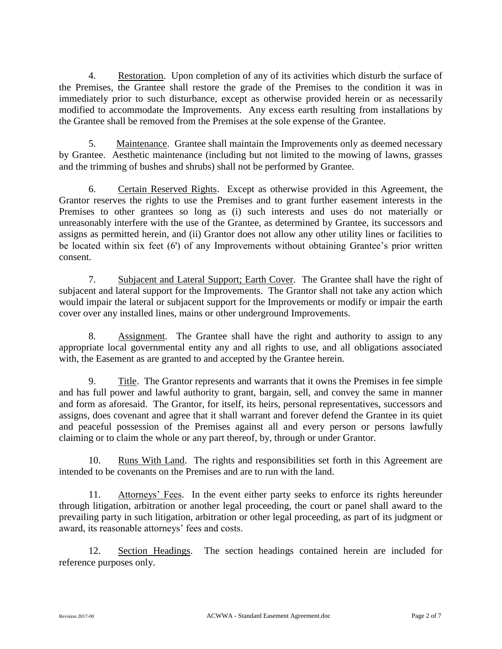4. Restoration. Upon completion of any of its activities which disturb the surface of the Premises, the Grantee shall restore the grade of the Premises to the condition it was in immediately prior to such disturbance, except as otherwise provided herein or as necessarily modified to accommodate the Improvements. Any excess earth resulting from installations by the Grantee shall be removed from the Premises at the sole expense of the Grantee.

5. Maintenance. Grantee shall maintain the Improvements only as deemed necessary by Grantee. Aesthetic maintenance (including but not limited to the mowing of lawns, grasses and the trimming of bushes and shrubs) shall not be performed by Grantee.

6. Certain Reserved Rights. Except as otherwise provided in this Agreement, the Grantor reserves the rights to use the Premises and to grant further easement interests in the Premises to other grantees so long as (i) such interests and uses do not materially or unreasonably interfere with the use of the Grantee, as determined by Grantee, its successors and assigns as permitted herein, and (ii) Grantor does not allow any other utility lines or facilities to be located within six feet (6') of any Improvements without obtaining Grantee's prior written consent.

7. Subjacent and Lateral Support; Earth Cover. The Grantee shall have the right of subjacent and lateral support for the Improvements. The Grantor shall not take any action which would impair the lateral or subjacent support for the Improvements or modify or impair the earth cover over any installed lines, mains or other underground Improvements.

8. Assignment. The Grantee shall have the right and authority to assign to any appropriate local governmental entity any and all rights to use, and all obligations associated with, the Easement as are granted to and accepted by the Grantee herein.

9. Title. The Grantor represents and warrants that it owns the Premises in fee simple and has full power and lawful authority to grant, bargain, sell, and convey the same in manner and form as aforesaid. The Grantor, for itself, its heirs, personal representatives, successors and assigns, does covenant and agree that it shall warrant and forever defend the Grantee in its quiet and peaceful possession of the Premises against all and every person or persons lawfully claiming or to claim the whole or any part thereof, by, through or under Grantor.

10. Runs With Land. The rights and responsibilities set forth in this Agreement are intended to be covenants on the Premises and are to run with the land.

11. Attorneys' Fees. In the event either party seeks to enforce its rights hereunder through litigation, arbitration or another legal proceeding, the court or panel shall award to the prevailing party in such litigation, arbitration or other legal proceeding, as part of its judgment or award, its reasonable attorneys' fees and costs.

12. Section Headings. The section headings contained herein are included for reference purposes only.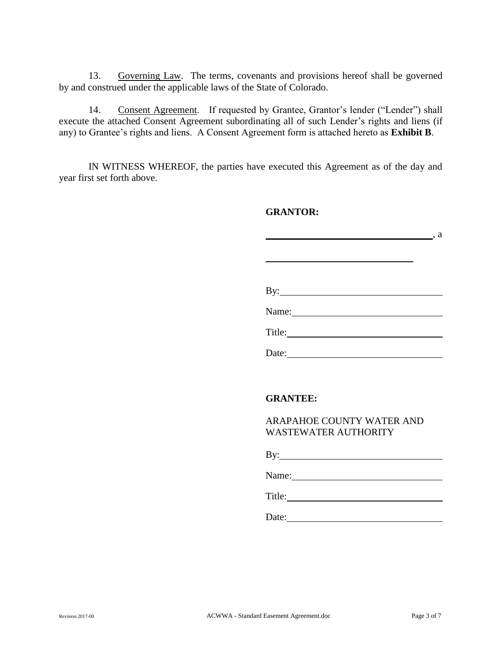13. Governing Law. The terms, covenants and provisions hereof shall be governed by and construed under the applicable laws of the State of Colorado.

14. Consent Agreement. If requested by Grantee, Grantor's lender ("Lender") shall execute the attached Consent Agreement subordinating all of such Lender's rights and liens (if any) to Grantee's rights and liens. A Consent Agreement form is attached hereto as **Exhibit B**.

IN WITNESS WHEREOF, the parties have executed this Agreement as of the day and year first set forth above.

#### **GRANTOR:**

, a  By: Name: Title:

Date:

## **GRANTEE:**

ARAPAHOE COUNTY WATER AND WASTEWATER AUTHORITY

By:

Name: Name and Allen and Allen and Allen and Allen and Allen and Allen and Allen and Allen and Allen and Allen

Title:

Date: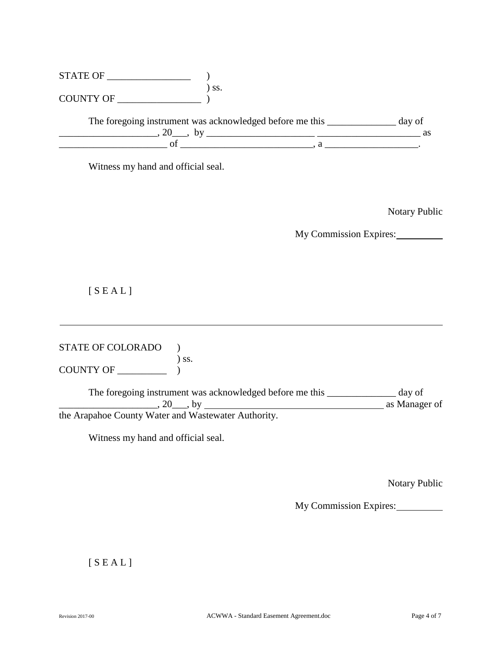| $\begin{tabular}{l} \multicolumn{2}{c}{\text{STATE OF}} \hspace{1.0cm} & \multicolumn{2}{c}{\text{)} \end{tabular} \begin{tabular}{ll} \multicolumn{2}{c}{\text{STATE OF}} \hspace{1.0cm} & \multicolumn{2}{c}{\text{)} \end{tabular} \begin{tabular}{ll} \multicolumn{2}{c}{\text{STATE OF}} \end{tabular} \end{tabular}$                                                                                                        |                                                                                                                                        |                        |                      |
|-----------------------------------------------------------------------------------------------------------------------------------------------------------------------------------------------------------------------------------------------------------------------------------------------------------------------------------------------------------------------------------------------------------------------------------|----------------------------------------------------------------------------------------------------------------------------------------|------------------------|----------------------|
|                                                                                                                                                                                                                                                                                                                                                                                                                                   | The foregoing instrument was acknowledged before me this ____________ day of                                                           |                        |                      |
| $\frac{1}{\sqrt{1-\frac{1}{\sqrt{1-\frac{1}{\sqrt{1-\frac{1}{\sqrt{1-\frac{1}{\sqrt{1-\frac{1}{\sqrt{1-\frac{1}{\sqrt{1-\frac{1}{\sqrt{1-\frac{1}{\sqrt{1-\frac{1}{\sqrt{1-\frac{1}{\sqrt{1-\frac{1}{\sqrt{1-\frac{1}{\sqrt{1-\frac{1}{\sqrt{1-\frac{1}{\sqrt{1-\frac{1}{\sqrt{1-\frac{1}{\sqrt{1-\frac{1}{\sqrt{1-\frac{1}{\sqrt{1-\frac{1}{\sqrt{1-\frac{1}{\sqrt{1-\frac{1}{\sqrt{1-\frac{1}{\sqrt{1-\frac{1}{\sqrt{1-\frac{1$ |                                                                                                                                        |                        |                      |
| Witness my hand and official seal.                                                                                                                                                                                                                                                                                                                                                                                                |                                                                                                                                        |                        |                      |
|                                                                                                                                                                                                                                                                                                                                                                                                                                   |                                                                                                                                        |                        | <b>Notary Public</b> |
|                                                                                                                                                                                                                                                                                                                                                                                                                                   |                                                                                                                                        | My Commission Expires: |                      |
| [SEAL]                                                                                                                                                                                                                                                                                                                                                                                                                            |                                                                                                                                        |                        |                      |
| STATE OF COLORADO<br>COUNTY OF _________<br>) ss.                                                                                                                                                                                                                                                                                                                                                                                 |                                                                                                                                        |                        |                      |
|                                                                                                                                                                                                                                                                                                                                                                                                                                   | The foregoing instrument was acknowledged before me this ____________ day of<br>$\frac{1}{20}$ , by $\frac{1}{20}$ , by $\frac{1}{20}$ |                        |                      |
| the Arapahoe County Water and Wastewater Authority.                                                                                                                                                                                                                                                                                                                                                                               |                                                                                                                                        |                        |                      |
| Witness my hand and official seal.                                                                                                                                                                                                                                                                                                                                                                                                |                                                                                                                                        |                        |                      |
|                                                                                                                                                                                                                                                                                                                                                                                                                                   |                                                                                                                                        |                        | Notary Public        |
|                                                                                                                                                                                                                                                                                                                                                                                                                                   |                                                                                                                                        | My Commission Expires: |                      |
| [SEAL]                                                                                                                                                                                                                                                                                                                                                                                                                            |                                                                                                                                        |                        |                      |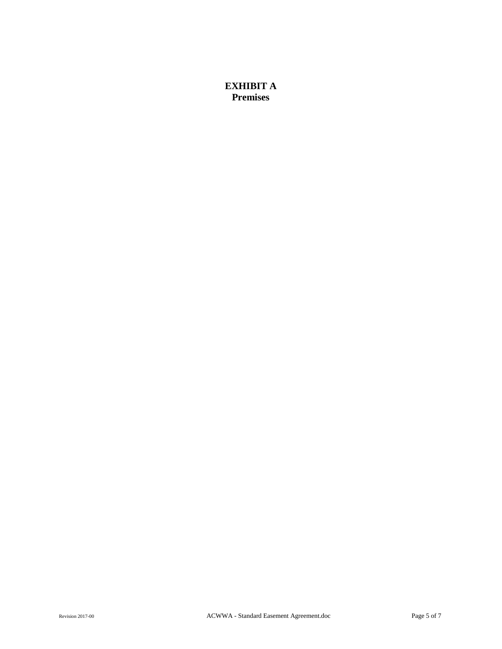### **EXHIBIT A Premises**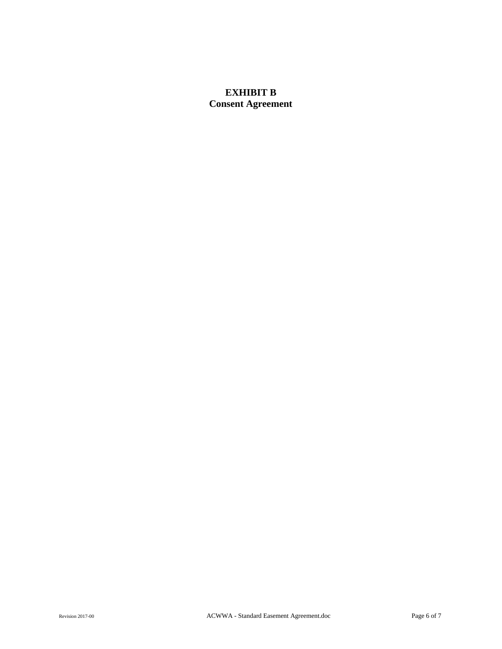## **EXHIBIT B Consent Agreement**